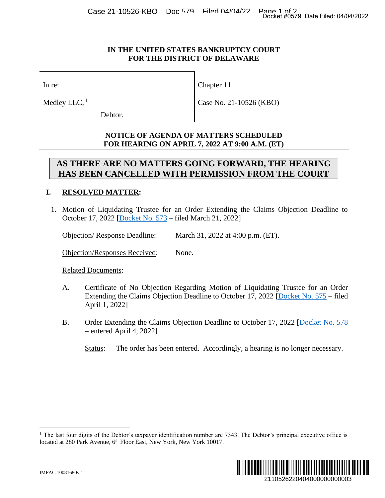## **IN THE UNITED STATES BANKRUPTCY COURT FOR THE DISTRICT OF DELAWARE**

Chapter 11

Case No. 21-10526 (KBO)

In re:

Medley LLC,  $<sup>1</sup>$ </sup>

Debtor.

**NOTICE OF AGENDA OF MATTERS SCHEDULED FOR HEARING ON APRIL 7, 2022 AT 9:00 A.M. (ET)**

## **AS THERE ARE NO MATTERS GOING FORWARD, THE HEARING HAS BEEN CANCELLED WITH PERMISSION FROM THE COURT**

## **I. RESOLVED MATTER:**

1. Motion of Liquidating Trustee for an Order Extending the Claims Objection Deadline to October 17, 2022 [Docket No. 573 – filed March 21, 2022]

Objection/ Response Deadline: March 31, 2022 at 4:00 p.m. (ET).

Objection/Responses Received: None.

Related Documents:

- A. Certificate of No Objection Regarding Motion of Liquidating Trustee for an Order Extending the Claims Objection Deadline to October 17, 2022 [Docket No. 575 – filed April 1, 2022]
- B. Order Extending the Claims Objection Deadline to October 17, 2022 [Docket No. 578] – entered April 4, 2022]

Status: The order has been entered. Accordingly, a hearing is no longer necessary.

<sup>&</sup>lt;sup>1</sup> The last four digits of the Debtor's taxpayer identification number are  $7343$ . The Debtor's principal executive office is located at 280 Park Avenue, 6<sup>th</sup> Floor East, New York, New York 10017.